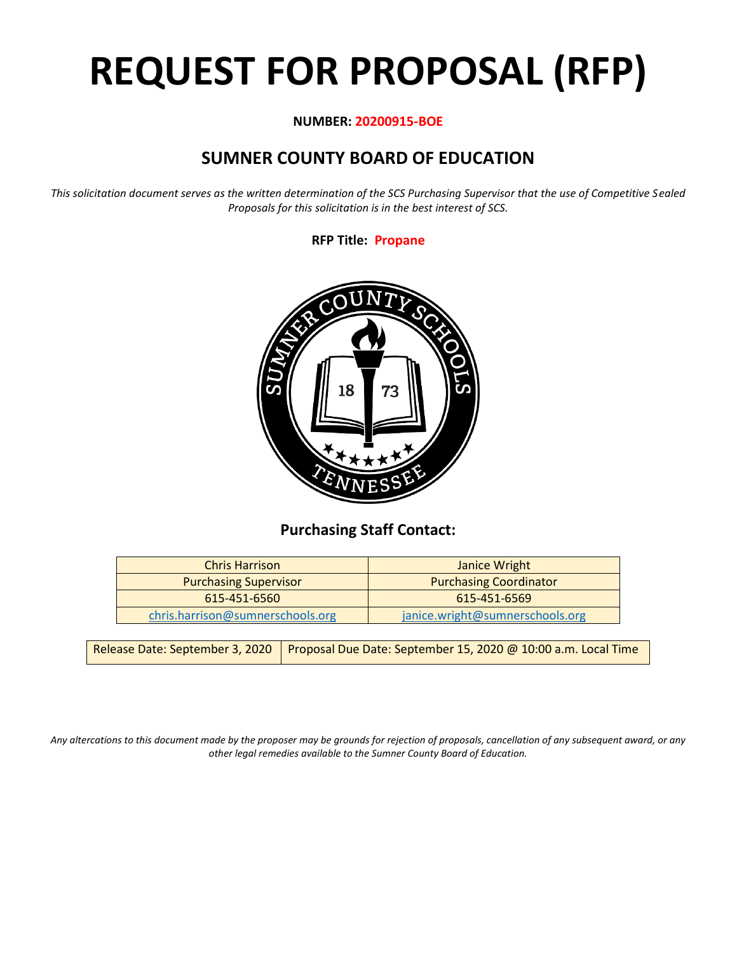# **REQUEST FOR PROPOSAL (RFP)**

#### **NUMBER: 20200915-BOE**

# **SUMNER COUNTY BOARD OF EDUCATION**

*This solicitation document serves as the written determination of the SCS Purchasing Supervisor that the use of Competitive Sealed Proposals for this solicitation is in the best interest of SCS.*

#### **RFP Title: Propane**



## **Purchasing Staff Contact:**

| <b>Chris Harrison</b>            | Janice Wright                   |
|----------------------------------|---------------------------------|
| <b>Purchasing Supervisor</b>     | <b>Purchasing Coordinator</b>   |
| $615 - 451 - 6560$               | 615-451-6569                    |
| chris.harrison@sumnerschools.org | janice.wright@sumnerschools.org |

*Any altercations to this document made by the proposer may be grounds for rejection of proposals, cancellation of any subsequent award, or any other legal remedies available to the Sumner County Board of Education.*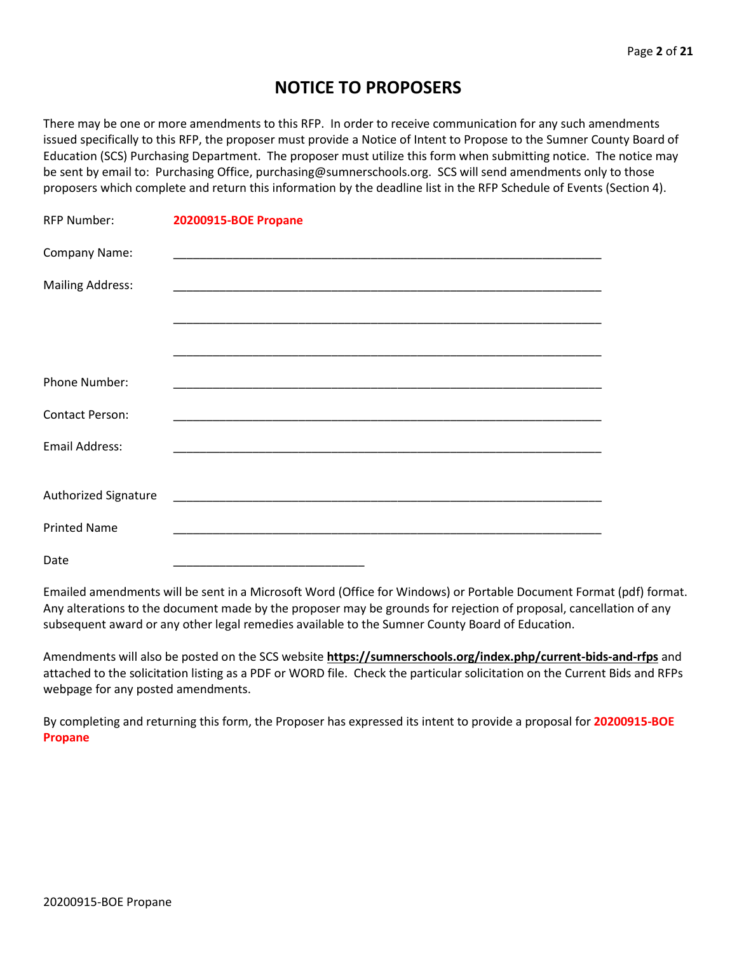## **NOTICE TO PROPOSERS**

There may be one or more amendments to this RFP. In order to receive communication for any such amendments issued specifically to this RFP, the proposer must provide a Notice of Intent to Propose to the Sumner County Board of Education (SCS) Purchasing Department. The proposer must utilize this form when submitting notice. The notice may be sent by email to: Purchasing Office, purchasing@sumnerschools.org. SCS will send amendments only to those proposers which complete and return this information by the deadline list in the RFP Schedule of Events (Section 4).

| <b>RFP Number:</b>      | <b>20200915-BOE Propane</b> |
|-------------------------|-----------------------------|
| Company Name:           |                             |
| <b>Mailing Address:</b> |                             |
|                         |                             |
|                         |                             |
| Phone Number:           |                             |
| <b>Contact Person:</b>  |                             |
| Email Address:          |                             |
|                         |                             |
| Authorized Signature    |                             |
| <b>Printed Name</b>     |                             |
| Date                    |                             |

Emailed amendments will be sent in a Microsoft Word (Office for Windows) or Portable Document Format (pdf) format. Any alterations to the document made by the proposer may be grounds for rejection of proposal, cancellation of any subsequent award or any other legal remedies available to the Sumner County Board of Education.

Amendments will also be posted on the SCS website **https://sumnerschools.org/index.php/current-bids-and-rfps** and attached to the solicitation listing as a PDF or WORD file. Check the particular solicitation on the Current Bids and RFPs webpage for any posted amendments.

By completing and returning this form, the Proposer has expressed its intent to provide a proposal for **20200915-BOE Propane**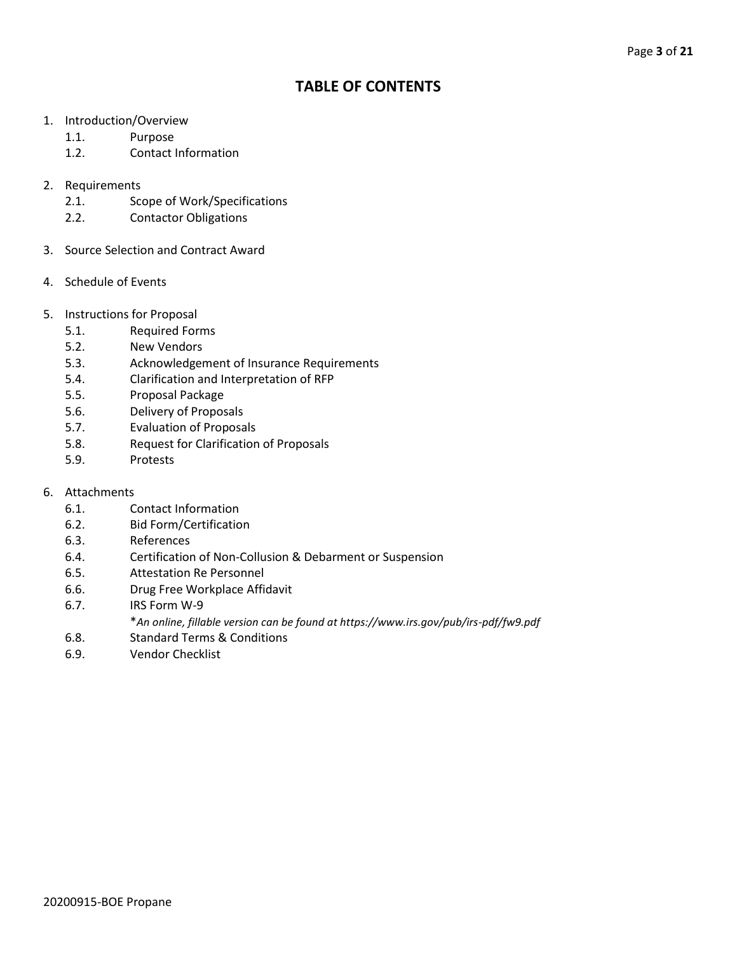## **TABLE OF CONTENTS**

- 1. Introduction/Overview
	- 1.1. Purpose
	- 1.2. Contact Information
- 2. Requirements
	- 2.1. Scope of Work/Specifications
	- 2.2. Contactor Obligations
- 3. Source Selection and Contract Award
- 4. Schedule of Events
- 5. Instructions for Proposal
	- 5.1. Required Forms
	- 5.2. New Vendors
	- 5.3. Acknowledgement of Insurance Requirements
	- 5.4. Clarification and Interpretation of RFP
	- 5.5. Proposal Package
	- 5.6. Delivery of Proposals
	- 5.7. Evaluation of Proposals
	- 5.8. Request for Clarification of Proposals
	- 5.9. Protests
- 6. Attachments
	- 6.1. Contact Information
	- 6.2. Bid Form/Certification
	- 6.3. References
	- 6.4. Certification of Non-Collusion & Debarment or Suspension
	- 6.5. Attestation Re Personnel
	- 6.6. Drug Free Workplace Affidavit
	- 6.7. IRS Form W-9
		- \**An online, fillable version can be found at https://www.irs.gov/pub/irs-pdf/fw9.pdf*
	- 6.8. Standard Terms & Conditions
	- 6.9. Vendor Checklist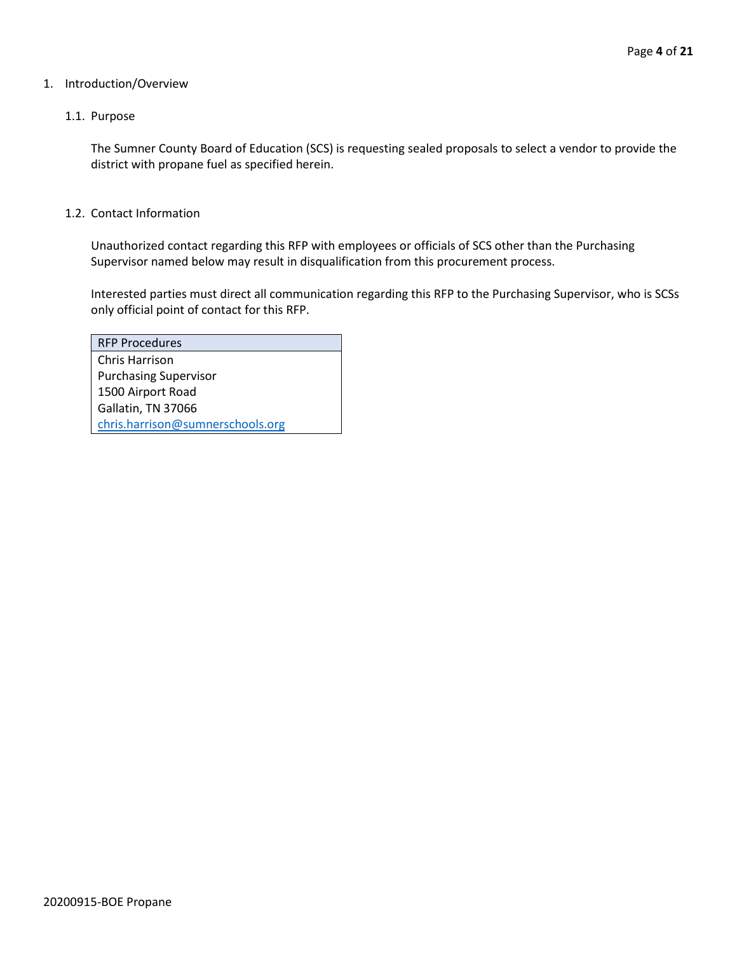#### 1. Introduction/Overview

#### 1.1. Purpose

The Sumner County Board of Education (SCS) is requesting sealed proposals to select a vendor to provide the district with propane fuel as specified herein.

#### 1.2. Contact Information

Unauthorized contact regarding this RFP with employees or officials of SCS other than the Purchasing Supervisor named below may result in disqualification from this procurement process.

Interested parties must direct all communication regarding this RFP to the Purchasing Supervisor, who is SCSs only official point of contact for this RFP.

| <b>RFP Procedures</b>            |
|----------------------------------|
| Chris Harrison                   |
| <b>Purchasing Supervisor</b>     |
| 1500 Airport Road                |
| Gallatin, TN 37066               |
| chris.harrison@sumnerschools.org |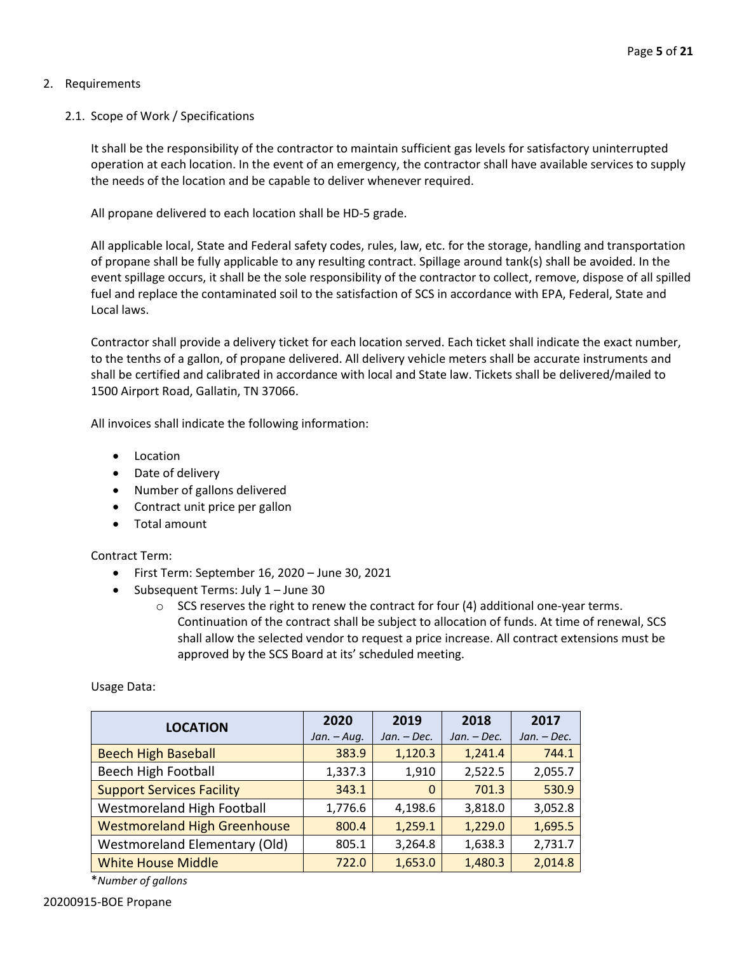#### 2. Requirements

#### 2.1. Scope of Work / Specifications

It shall be the responsibility of the contractor to maintain sufficient gas levels for satisfactory uninterrupted operation at each location. In the event of an emergency, the contractor shall have available services to supply the needs of the location and be capable to deliver whenever required.

All propane delivered to each location shall be HD-5 grade.

All applicable local, State and Federal safety codes, rules, law, etc. for the storage, handling and transportation of propane shall be fully applicable to any resulting contract. Spillage around tank(s) shall be avoided. In the event spillage occurs, it shall be the sole responsibility of the contractor to collect, remove, dispose of all spilled fuel and replace the contaminated soil to the satisfaction of SCS in accordance with EPA, Federal, State and Local laws.

Contractor shall provide a delivery ticket for each location served. Each ticket shall indicate the exact number, to the tenths of a gallon, of propane delivered. All delivery vehicle meters shall be accurate instruments and shall be certified and calibrated in accordance with local and State law. Tickets shall be delivered/mailed to 1500 Airport Road, Gallatin, TN 37066.

All invoices shall indicate the following information:

- Location
- Date of delivery
- Number of gallons delivered
- Contract unit price per gallon
- Total amount

Contract Term:

- First Term: September 16, 2020 June 30, 2021
- Subsequent Terms: July 1 June 30
	- $\circ$  SCS reserves the right to renew the contract for four (4) additional one-year terms. Continuation of the contract shall be subject to allocation of funds. At time of renewal, SCS shall allow the selected vendor to request a price increase. All contract extensions must be approved by the SCS Board at its' scheduled meeting.

Usage Data:

| <b>LOCATION</b>                      | 2020          | 2019          | 2018          | 2017          |
|--------------------------------------|---------------|---------------|---------------|---------------|
|                                      | $Jan. - Aug.$ | $Jan. - Dec.$ | $Jan. - Dec.$ | $Jan. - Dec.$ |
| <b>Beech High Baseball</b>           | 383.9         | 1,120.3       | 1,241.4       | 744.1         |
| <b>Beech High Football</b>           | 1,337.3       | 1,910         | 2,522.5       | 2,055.7       |
| <b>Support Services Facility</b>     | 343.1         | $\Omega$      | 701.3         | 530.9         |
| Westmoreland High Football           | 1,776.6       | 4,198.6       | 3,818.0       | 3,052.8       |
| <b>Westmoreland High Greenhouse</b>  | 800.4         | 1,259.1       | 1,229.0       | 1,695.5       |
| <b>Westmoreland Elementary (Old)</b> | 805.1         | 3,264.8       | 1,638.3       | 2,731.7       |
| <b>White House Middle</b>            | 722.0         | 1,653.0       | 1,480.3       | 2,014.8       |

\**Number of gallons*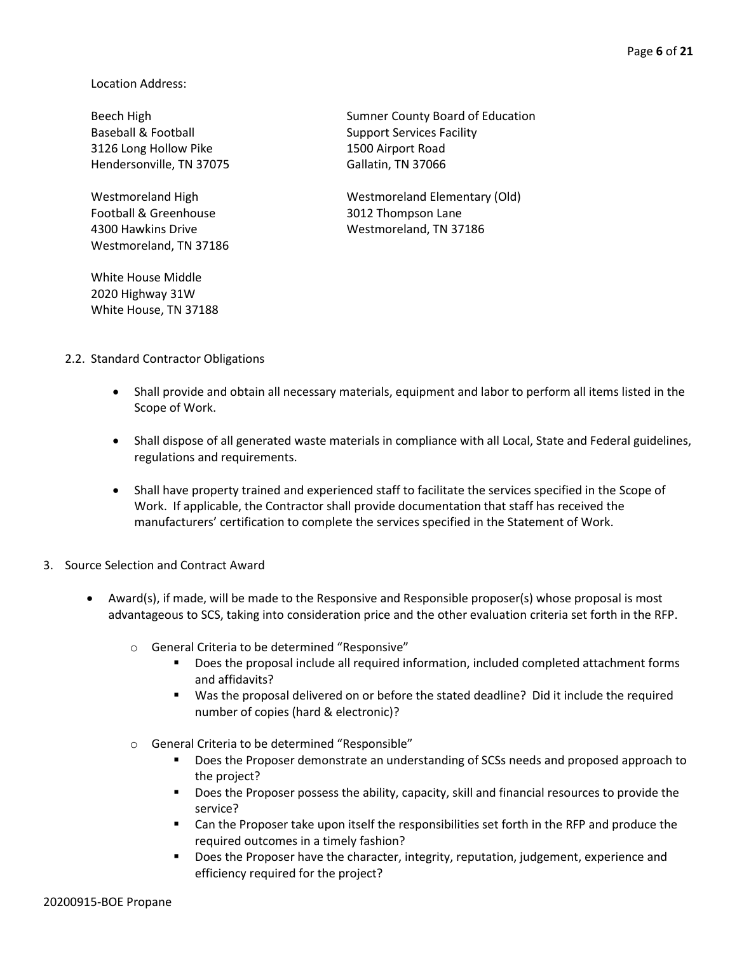Location Address:

Baseball & Football Support Services Facility 3126 Long Hollow Pike 1500 Airport Road Hendersonville, TN 37075 Gallatin, TN 37066

Football & Greenhouse 3012 Thompson Lane Westmoreland, TN 37186

White House Middle 2020 Highway 31W White House, TN 37188

Beech High Sumner County Board of Education

Westmoreland High Westmoreland Elementary (Old) 4300 Hawkins Drive Westmoreland, TN 37186

- 2.2. Standard Contractor Obligations
	- Shall provide and obtain all necessary materials, equipment and labor to perform all items listed in the Scope of Work.
	- Shall dispose of all generated waste materials in compliance with all Local, State and Federal guidelines, regulations and requirements.
	- Shall have property trained and experienced staff to facilitate the services specified in the Scope of Work. If applicable, the Contractor shall provide documentation that staff has received the manufacturers' certification to complete the services specified in the Statement of Work.
- 3. Source Selection and Contract Award
	- Award(s), if made, will be made to the Responsive and Responsible proposer(s) whose proposal is most advantageous to SCS, taking into consideration price and the other evaluation criteria set forth in the RFP.
		- o General Criteria to be determined "Responsive"
			- Does the proposal include all required information, included completed attachment forms and affidavits?
			- Was the proposal delivered on or before the stated deadline? Did it include the required number of copies (hard & electronic)?
		- o General Criteria to be determined "Responsible"
			- **•** Does the Proposer demonstrate an understanding of SCSs needs and proposed approach to the project?
			- Does the Proposer possess the ability, capacity, skill and financial resources to provide the service?
			- Can the Proposer take upon itself the responsibilities set forth in the RFP and produce the required outcomes in a timely fashion?
			- **■** Does the Proposer have the character, integrity, reputation, judgement, experience and efficiency required for the project?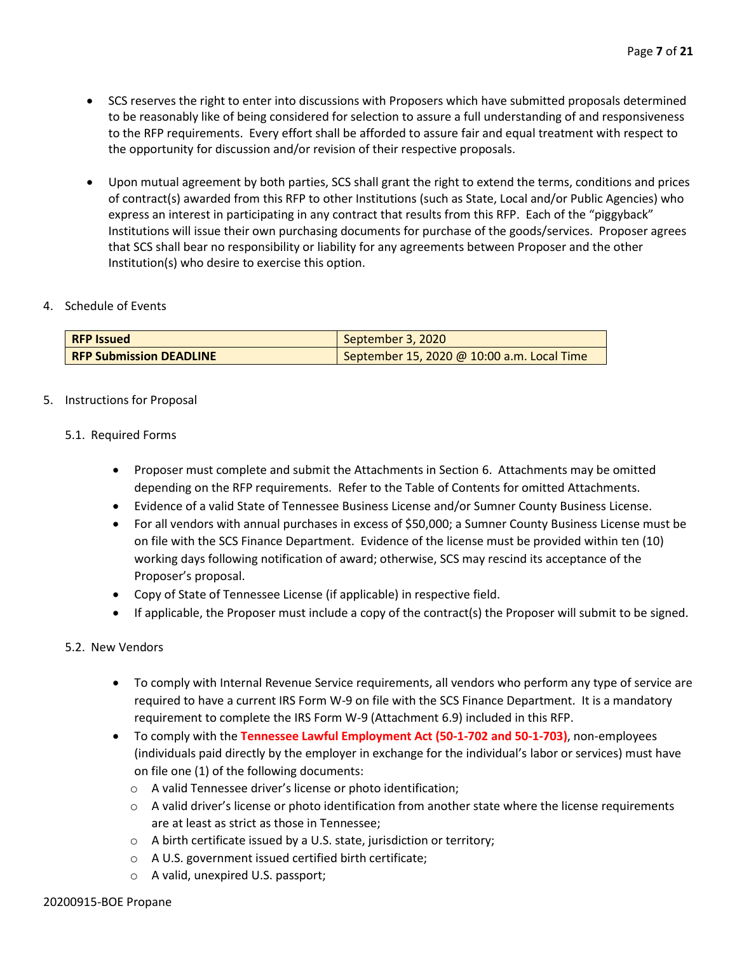- SCS reserves the right to enter into discussions with Proposers which have submitted proposals determined to be reasonably like of being considered for selection to assure a full understanding of and responsiveness to the RFP requirements. Every effort shall be afforded to assure fair and equal treatment with respect to the opportunity for discussion and/or revision of their respective proposals.
- Upon mutual agreement by both parties, SCS shall grant the right to extend the terms, conditions and prices of contract(s) awarded from this RFP to other Institutions (such as State, Local and/or Public Agencies) who express an interest in participating in any contract that results from this RFP. Each of the "piggyback" Institutions will issue their own purchasing documents for purchase of the goods/services. Proposer agrees that SCS shall bear no responsibility or liability for any agreements between Proposer and the other Institution(s) who desire to exercise this option.

#### 4. Schedule of Events

| <b>RFP</b> Issued              | September 3, 2020                          |
|--------------------------------|--------------------------------------------|
| <b>RFP Submission DEADLINE</b> | September 15, 2020 @ 10:00 a.m. Local Time |

#### 5. Instructions for Proposal

#### 5.1. Required Forms

- Proposer must complete and submit the Attachments in Section 6. Attachments may be omitted depending on the RFP requirements. Refer to the Table of Contents for omitted Attachments.
- Evidence of a valid State of Tennessee Business License and/or Sumner County Business License.
- For all vendors with annual purchases in excess of \$50,000; a Sumner County Business License must be on file with the SCS Finance Department. Evidence of the license must be provided within ten (10) working days following notification of award; otherwise, SCS may rescind its acceptance of the Proposer's proposal.
- Copy of State of Tennessee License (if applicable) in respective field.
- If applicable, the Proposer must include a copy of the contract(s) the Proposer will submit to be signed.

#### 5.2. New Vendors

- To comply with Internal Revenue Service requirements, all vendors who perform any type of service are required to have a current IRS Form W-9 on file with the SCS Finance Department. It is a mandatory requirement to complete the IRS Form W-9 (Attachment 6.9) included in this RFP.
- To comply with the **Tennessee Lawful Employment Act (50-1-702 and 50-1-703)**, non-employees (individuals paid directly by the employer in exchange for the individual's labor or services) must have on file one (1) of the following documents:
	- o A valid Tennessee driver's license or photo identification;
	- $\circ$  A valid driver's license or photo identification from another state where the license requirements are at least as strict as those in Tennessee;
	- o A birth certificate issued by a U.S. state, jurisdiction or territory;
	- o A U.S. government issued certified birth certificate;
	- o A valid, unexpired U.S. passport;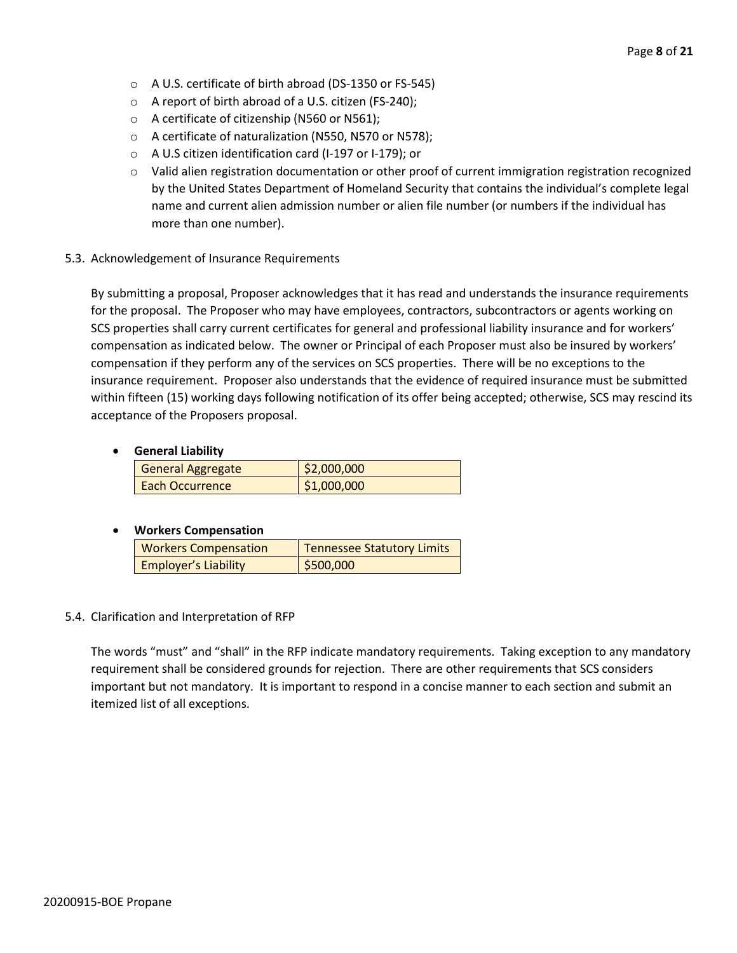- o A U.S. certificate of birth abroad (DS-1350 or FS-545)
- o A report of birth abroad of a U.S. citizen (FS-240);
- o A certificate of citizenship (N560 or N561);
- o A certificate of naturalization (N550, N570 or N578);
- o A U.S citizen identification card (I-197 or I-179); or
- o Valid alien registration documentation or other proof of current immigration registration recognized by the United States Department of Homeland Security that contains the individual's complete legal name and current alien admission number or alien file number (or numbers if the individual has more than one number).
- 5.3. Acknowledgement of Insurance Requirements

By submitting a proposal, Proposer acknowledges that it has read and understands the insurance requirements for the proposal. The Proposer who may have employees, contractors, subcontractors or agents working on SCS properties shall carry current certificates for general and professional liability insurance and for workers' compensation as indicated below. The owner or Principal of each Proposer must also be insured by workers' compensation if they perform any of the services on SCS properties. There will be no exceptions to the insurance requirement. Proposer also understands that the evidence of required insurance must be submitted within fifteen (15) working days following notification of its offer being accepted; otherwise, SCS may rescind its acceptance of the Proposers proposal.

#### • **General Liability**

| <b>General Aggregate</b> | \$2,000,000 |
|--------------------------|-------------|
| <b>Each Occurrence</b>   | \$1,000,000 |

#### • **Workers Compensation**

| <b>Workers Compensation</b> | <b>Tennessee Statutory Limits</b> |
|-----------------------------|-----------------------------------|
| <b>Employer's Liability</b> | \$500,000                         |

#### 5.4. Clarification and Interpretation of RFP

The words "must" and "shall" in the RFP indicate mandatory requirements. Taking exception to any mandatory requirement shall be considered grounds for rejection. There are other requirements that SCS considers important but not mandatory. It is important to respond in a concise manner to each section and submit an itemized list of all exceptions.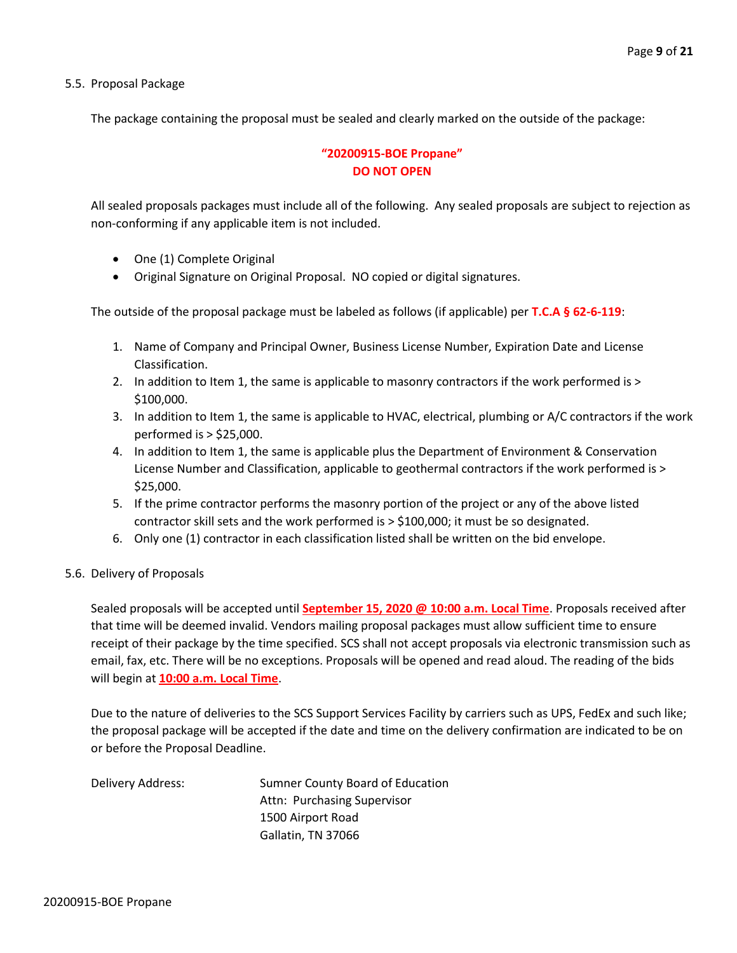5.5. Proposal Package

The package containing the proposal must be sealed and clearly marked on the outside of the package:

#### **"20200915-BOE Propane" DO NOT OPEN**

All sealed proposals packages must include all of the following. Any sealed proposals are subject to rejection as non-conforming if any applicable item is not included.

- One (1) Complete Original
- Original Signature on Original Proposal. NO copied or digital signatures.

The outside of the proposal package must be labeled as follows (if applicable) per **T.C.A § 62-6-119**:

- 1. Name of Company and Principal Owner, Business License Number, Expiration Date and License Classification.
- 2. In addition to Item 1, the same is applicable to masonry contractors if the work performed is > \$100,000.
- 3. In addition to Item 1, the same is applicable to HVAC, electrical, plumbing or A/C contractors if the work performed is > \$25,000.
- 4. In addition to Item 1, the same is applicable plus the Department of Environment & Conservation License Number and Classification, applicable to geothermal contractors if the work performed is > \$25,000.
- 5. If the prime contractor performs the masonry portion of the project or any of the above listed contractor skill sets and the work performed is > \$100,000; it must be so designated.
- 6. Only one (1) contractor in each classification listed shall be written on the bid envelope.

#### 5.6. Delivery of Proposals

Sealed proposals will be accepted until **September 15, 2020 @ 10:00 a.m. Local Time**. Proposals received after that time will be deemed invalid. Vendors mailing proposal packages must allow sufficient time to ensure receipt of their package by the time specified. SCS shall not accept proposals via electronic transmission such as email, fax, etc. There will be no exceptions. Proposals will be opened and read aloud. The reading of the bids will begin at **10:00 a.m. Local Time**.

Due to the nature of deliveries to the SCS Support Services Facility by carriers such as UPS, FedEx and such like; the proposal package will be accepted if the date and time on the delivery confirmation are indicated to be on or before the Proposal Deadline.

Delivery Address: Sumner County Board of Education Attn: Purchasing Supervisor 1500 Airport Road Gallatin, TN 37066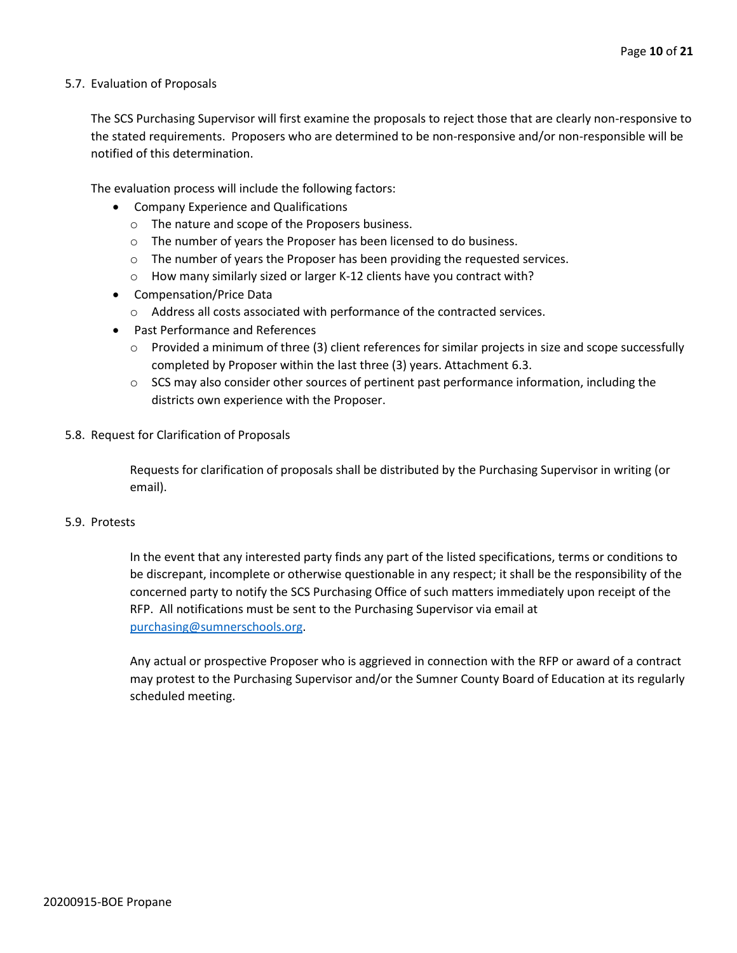#### 5.7. Evaluation of Proposals

The SCS Purchasing Supervisor will first examine the proposals to reject those that are clearly non-responsive to the stated requirements. Proposers who are determined to be non-responsive and/or non-responsible will be notified of this determination.

The evaluation process will include the following factors:

- Company Experience and Qualifications
	- o The nature and scope of the Proposers business.
	- $\circ$  The number of years the Proposer has been licensed to do business.
	- $\circ$  The number of years the Proposer has been providing the requested services.
	- o How many similarly sized or larger K-12 clients have you contract with?
- Compensation/Price Data
	- o Address all costs associated with performance of the contracted services.
- Past Performance and References
	- $\circ$  Provided a minimum of three (3) client references for similar projects in size and scope successfully completed by Proposer within the last three (3) years. Attachment 6.3.
	- $\circ$  SCS may also consider other sources of pertinent past performance information, including the districts own experience with the Proposer.
- 5.8. Request for Clarification of Proposals

Requests for clarification of proposals shall be distributed by the Purchasing Supervisor in writing (or email).

#### 5.9. Protests

In the event that any interested party finds any part of the listed specifications, terms or conditions to be discrepant, incomplete or otherwise questionable in any respect; it shall be the responsibility of the concerned party to notify the SCS Purchasing Office of such matters immediately upon receipt of the RFP. All notifications must be sent to the Purchasing Supervisor via email at [purchasing@sumnerschools.org.](mailto:purchasing@sumnerschools.org)

Any actual or prospective Proposer who is aggrieved in connection with the RFP or award of a contract may protest to the Purchasing Supervisor and/or the Sumner County Board of Education at its regularly scheduled meeting.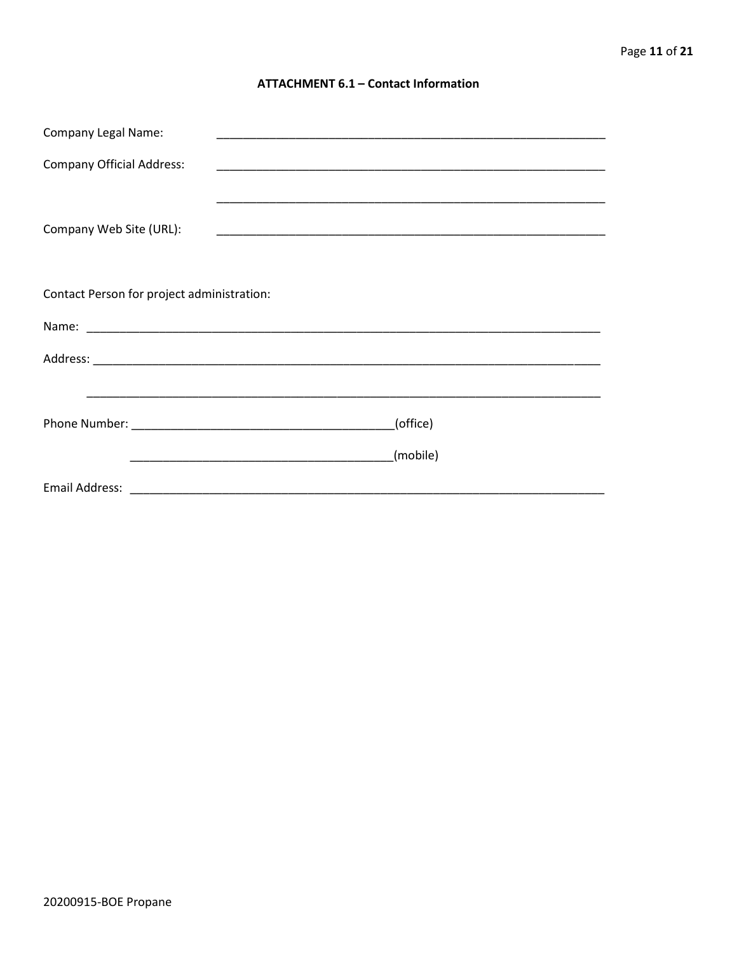#### **ATTACHMENT 6.1 - Contact Information**

| <b>Company Legal Name:</b>                 |          |  |
|--------------------------------------------|----------|--|
| <b>Company Official Address:</b>           |          |  |
|                                            |          |  |
| Company Web Site (URL):                    |          |  |
|                                            |          |  |
|                                            |          |  |
| Contact Person for project administration: |          |  |
|                                            |          |  |
|                                            |          |  |
|                                            |          |  |
|                                            | (office) |  |
|                                            | (mobile) |  |
|                                            |          |  |
|                                            |          |  |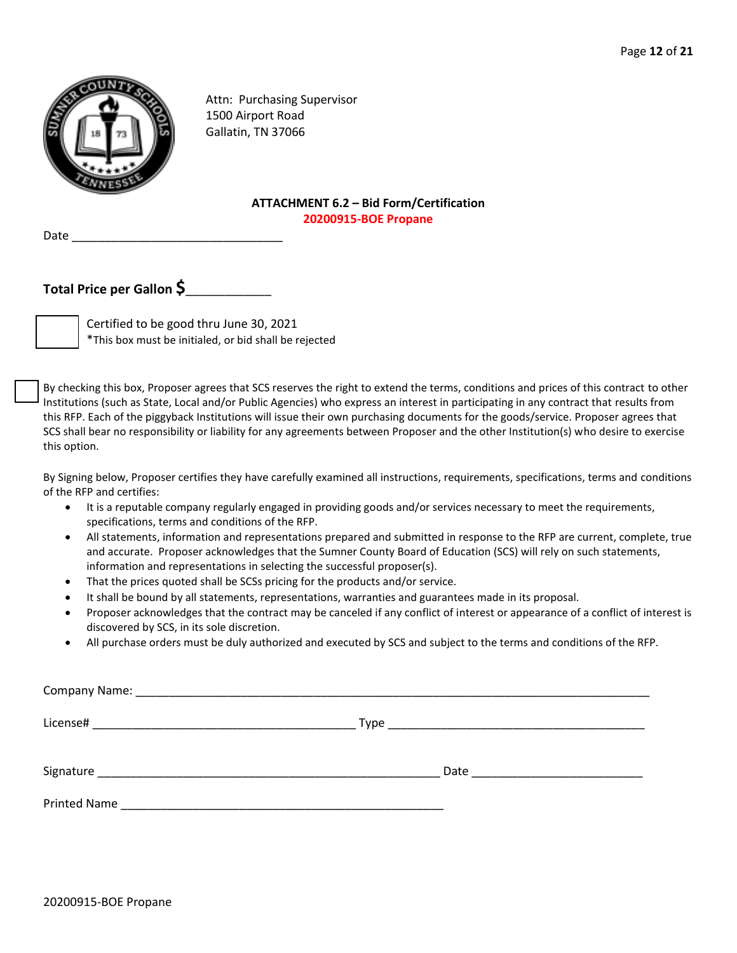

Attn: Purchasing Supervisor 1500 Airport Road Gallatin, TN 37066

#### **ATTACHMENT 6.2 – Bid Form/Certification 20200915-BOE Propane**

Date \_\_\_\_\_\_\_\_\_\_\_\_\_\_\_\_\_\_\_\_\_\_\_\_\_\_\_\_\_\_\_\_

### **Total Price per Gallon \$**\_\_\_\_\_\_\_\_\_\_\_\_\_

Certified to be good thru June 30, 2021 \*This box must be initialed, or bid shall be rejected

By checking this box, Proposer agrees that SCS reserves the right to extend the terms, conditions and prices of this contract to other Institutions (such as State, Local and/or Public Agencies) who express an interest in participating in any contract that results from this RFP. Each of the piggyback Institutions will issue their own purchasing documents for the goods/service. Proposer agrees that SCS shall bear no responsibility or liability for any agreements between Proposer and the other Institution(s) who desire to exercise this option.

By Signing below, Proposer certifies they have carefully examined all instructions, requirements, specifications, terms and conditions of the RFP and certifies:

- It is a reputable company regularly engaged in providing goods and/or services necessary to meet the requirements, specifications, terms and conditions of the RFP.
- All statements, information and representations prepared and submitted in response to the RFP are current, complete, true and accurate. Proposer acknowledges that the Sumner County Board of Education (SCS) will rely on such statements, information and representations in selecting the successful proposer(s).
- That the prices quoted shall be SCSs pricing for the products and/or service.
- It shall be bound by all statements, representations, warranties and guarantees made in its proposal.
- Proposer acknowledges that the contract may be canceled if any conflict of interest or appearance of a conflict of interest is discovered by SCS, in its sole discretion.
- All purchase orders must be duly authorized and executed by SCS and subject to the terms and conditions of the RFP.

| License# |                               |
|----------|-------------------------------|
|          | Date ________________________ |
|          |                               |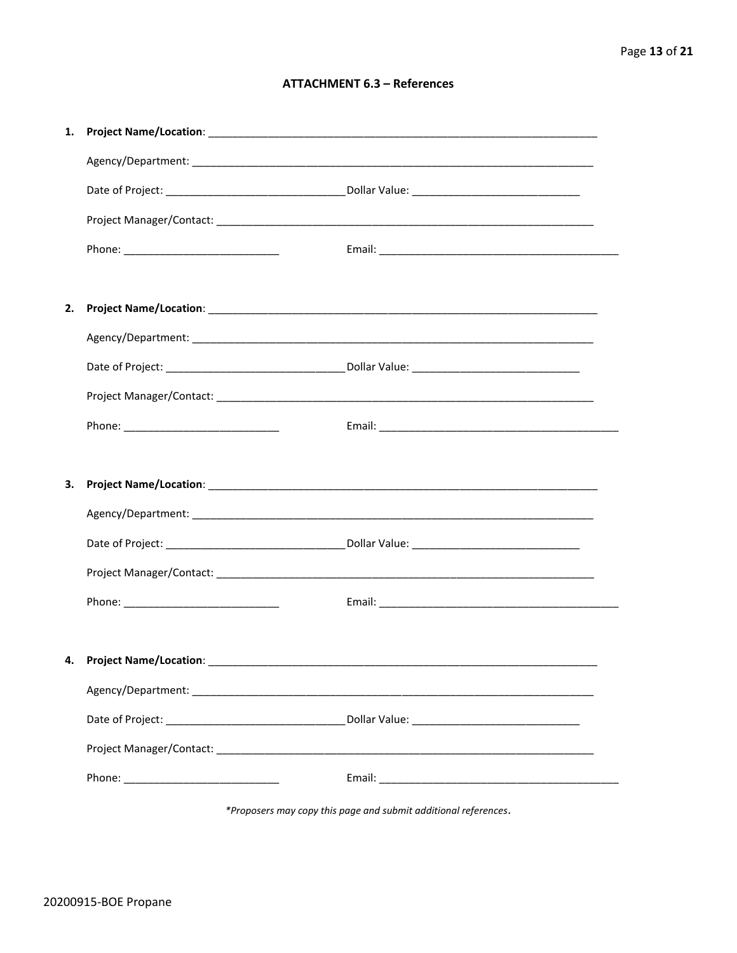#### **ATTACHMENT 6.3 - References**

| 1. |                                     |  |
|----|-------------------------------------|--|
|    |                                     |  |
|    |                                     |  |
|    |                                     |  |
|    |                                     |  |
|    |                                     |  |
| 2. |                                     |  |
|    |                                     |  |
|    |                                     |  |
|    |                                     |  |
|    |                                     |  |
|    |                                     |  |
| З. |                                     |  |
|    |                                     |  |
|    |                                     |  |
|    |                                     |  |
|    |                                     |  |
|    |                                     |  |
|    |                                     |  |
|    | 4. Project Name/Location: _________ |  |
|    |                                     |  |
|    |                                     |  |
|    |                                     |  |
|    |                                     |  |

\*Proposers may copy this page and submit additional references.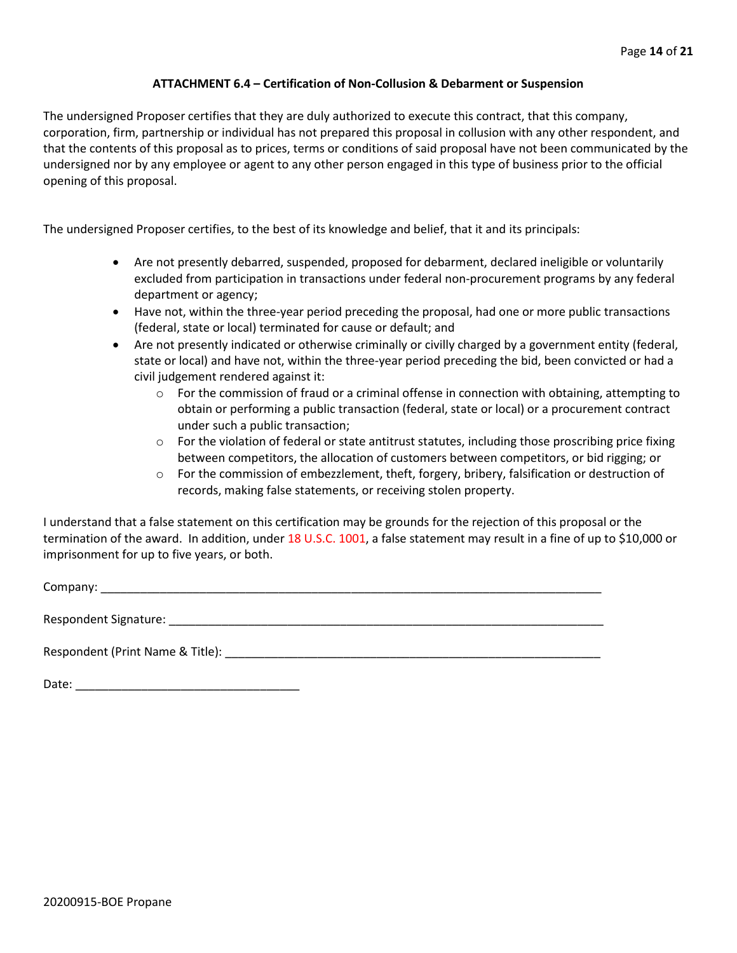#### **ATTACHMENT 6.4 – Certification of Non-Collusion & Debarment or Suspension**

The undersigned Proposer certifies that they are duly authorized to execute this contract, that this company, corporation, firm, partnership or individual has not prepared this proposal in collusion with any other respondent, and that the contents of this proposal as to prices, terms or conditions of said proposal have not been communicated by the undersigned nor by any employee or agent to any other person engaged in this type of business prior to the official opening of this proposal.

The undersigned Proposer certifies, to the best of its knowledge and belief, that it and its principals:

- Are not presently debarred, suspended, proposed for debarment, declared ineligible or voluntarily excluded from participation in transactions under federal non-procurement programs by any federal department or agency;
- Have not, within the three-year period preceding the proposal, had one or more public transactions (federal, state or local) terminated for cause or default; and
- Are not presently indicated or otherwise criminally or civilly charged by a government entity (federal, state or local) and have not, within the three-year period preceding the bid, been convicted or had a civil judgement rendered against it:
	- $\circ$  For the commission of fraud or a criminal offense in connection with obtaining, attempting to obtain or performing a public transaction (federal, state or local) or a procurement contract under such a public transaction;
	- $\circ$  For the violation of federal or state antitrust statutes, including those proscribing price fixing between competitors, the allocation of customers between competitors, or bid rigging; or
	- o For the commission of embezzlement, theft, forgery, bribery, falsification or destruction of records, making false statements, or receiving stolen property.

I understand that a false statement on this certification may be grounds for the rejection of this proposal or the termination of the award. In addition, under 18 U.S.C. 1001, a false statement may result in a fine of up to \$10,000 or imprisonment for up to five years, or both.

Company: \_\_\_\_\_\_\_\_\_\_\_\_\_\_\_\_\_\_\_\_\_\_\_\_\_\_\_\_\_\_\_\_\_\_\_\_\_\_\_\_\_\_\_\_\_\_\_\_\_\_\_\_\_\_\_\_\_\_\_\_\_\_\_\_\_\_\_\_\_\_\_\_\_\_\_\_

Respondent Signature: \_\_\_\_\_\_\_\_\_\_\_\_\_\_\_\_\_\_\_\_\_\_\_\_\_\_\_\_\_\_\_\_\_\_\_\_\_\_\_\_\_\_\_\_\_\_\_\_\_\_\_\_\_\_\_\_\_\_\_\_\_\_\_\_\_\_

Respondent (Print Name & Title): \_\_\_\_\_\_\_\_\_\_\_\_\_\_\_\_\_\_\_\_\_\_\_\_\_\_\_\_\_\_\_\_\_\_\_\_\_\_\_\_\_\_\_\_\_\_\_\_\_\_\_\_\_\_\_\_\_

Date: \_\_\_\_\_\_\_\_\_\_\_\_\_\_\_\_\_\_\_\_\_\_\_\_\_\_\_\_\_\_\_\_\_\_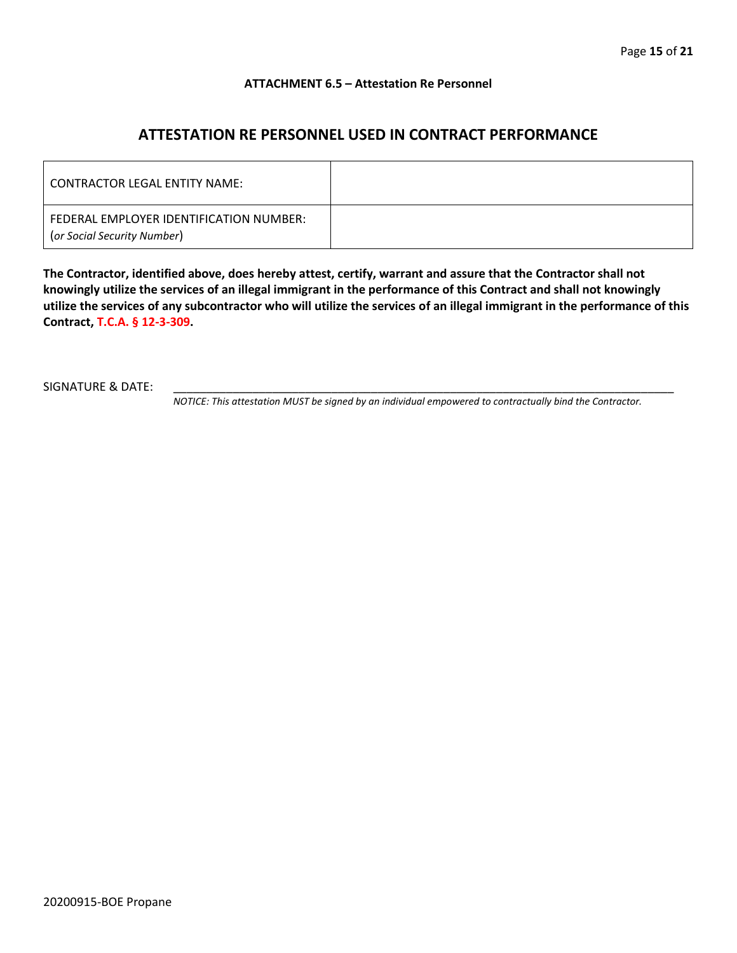#### **ATTACHMENT 6.5 – Attestation Re Personnel**

## **ATTESTATION RE PERSONNEL USED IN CONTRACT PERFORMANCE**

| CONTRACTOR LEGAL ENTITY NAME:                                          |  |
|------------------------------------------------------------------------|--|
| FEDERAL EMPLOYER IDENTIFICATION NUMBER:<br>(or Social Security Number) |  |

**The Contractor, identified above, does hereby attest, certify, warrant and assure that the Contractor shall not knowingly utilize the services of an illegal immigrant in the performance of this Contract and shall not knowingly utilize the services of any subcontractor who will utilize the services of an illegal immigrant in the performance of this Contract, T.C.A. § 12-3-309.**

SIGNATURE & DATE:

*NOTICE: This attestation MUST be signed by an individual empowered to contractually bind the Contractor.*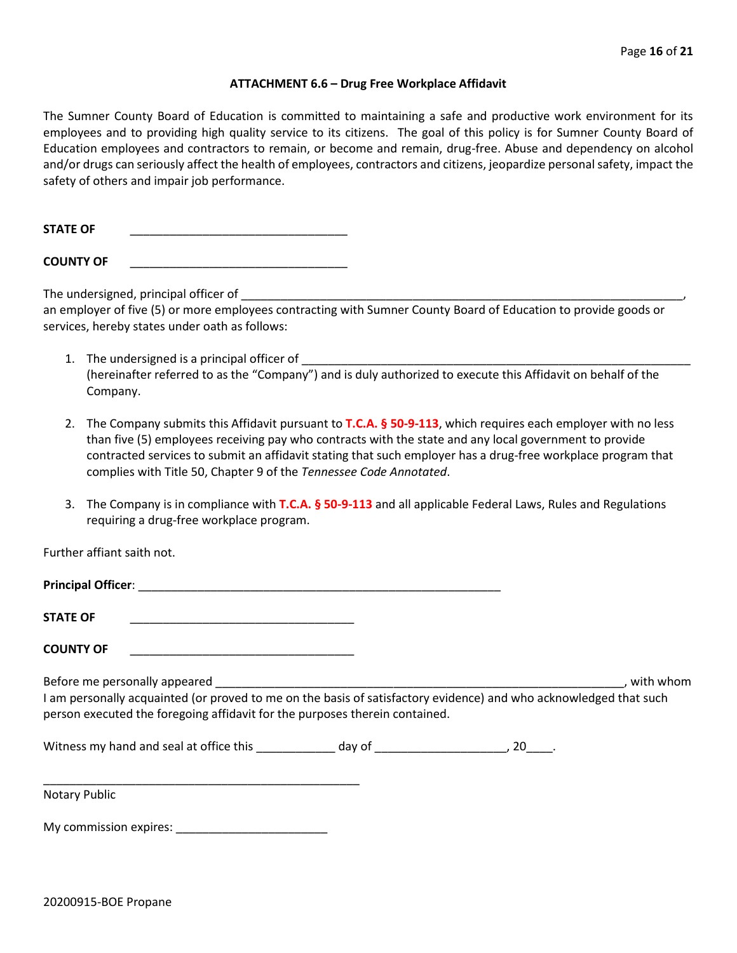#### **ATTACHMENT 6.6 – Drug Free Workplace Affidavit**

The Sumner County Board of Education is committed to maintaining a safe and productive work environment for its employees and to providing high quality service to its citizens. The goal of this policy is for Sumner County Board of Education employees and contractors to remain, or become and remain, drug-free. Abuse and dependency on alcohol and/or drugs can seriously affect the health of employees, contractors and citizens, jeopardize personal safety, impact the safety of others and impair job performance.

STATE OF

**COUNTY OF** \_\_\_\_\_\_\_\_\_\_\_\_\_\_\_\_\_\_\_\_\_\_\_\_\_\_\_\_\_\_\_\_\_

The undersigned, principal officer of

an employer of five (5) or more employees contracting with Sumner County Board of Education to provide goods or services, hereby states under oath as follows:

- 1. The undersigned is a principal officer of (hereinafter referred to as the "Company") and is duly authorized to execute this Affidavit on behalf of the Company.
- 2. The Company submits this Affidavit pursuant to **T.C.A. § 50-9-113**, which requires each employer with no less than five (5) employees receiving pay who contracts with the state and any local government to provide contracted services to submit an affidavit stating that such employer has a drug-free workplace program that complies with Title 50, Chapter 9 of the *Tennessee Code Annotated*.
- 3. The Company is in compliance with **T.C.A. § 50-9-113** and all applicable Federal Laws, Rules and Regulations requiring a drug-free workplace program.

Further affiant saith not.

| <b>Principal Officer:</b> |  |
|---------------------------|--|
|                           |  |
| <b>STATE OF</b>           |  |

**COUNTY OF** \_\_\_\_\_\_\_\_\_\_\_\_\_\_\_\_\_\_\_\_\_\_\_\_\_\_\_\_\_\_\_\_\_\_

Before me personally appeared \_\_\_\_\_\_\_\_\_\_\_\_\_\_\_\_\_\_\_\_\_\_\_\_\_\_\_\_\_\_\_\_\_\_\_\_\_\_\_\_\_\_\_\_\_\_\_\_\_\_\_\_\_\_\_\_\_\_\_\_\_\_, with whom I am personally acquainted (or proved to me on the basis of satisfactory evidence) and who acknowledged that such person executed the foregoing affidavit for the purposes therein contained.

Witness my hand and seal at office this \_\_\_\_\_\_\_\_\_\_\_\_\_ day of \_\_\_\_\_\_\_\_\_\_\_\_\_\_\_\_\_\_\_\_\_, 20\_\_\_\_.

Notary Public

My commission expires: \_\_\_\_\_\_\_\_\_\_\_\_\_\_\_\_\_\_\_\_\_\_\_

\_\_\_\_\_\_\_\_\_\_\_\_\_\_\_\_\_\_\_\_\_\_\_\_\_\_\_\_\_\_\_\_\_\_\_\_\_\_\_\_\_\_\_\_\_\_\_\_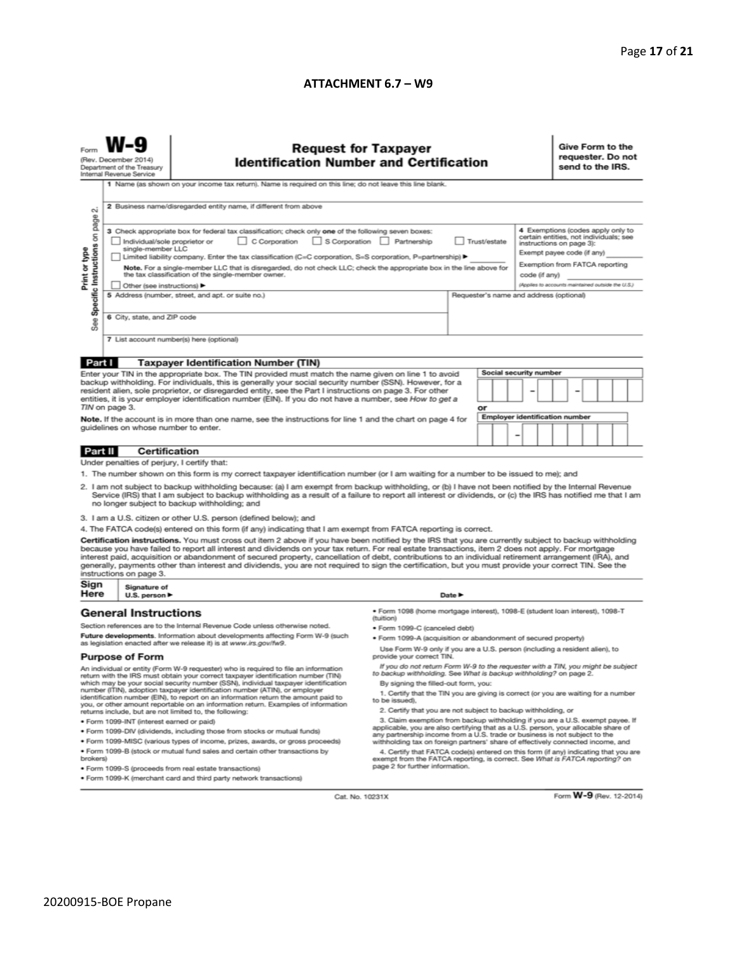#### **ATTACHMENT 6.7 – W9**

| N                                                                                                                                                                                                                                                                                                                                                                                                                                                                                                           | <b>Request for Taxpayer</b><br>(Rev. December 2014)<br><b>Identification Number and Certification</b><br>Department of the Treasury<br>Internal Revenue Service<br>1 Name (as shown on your income tax return). Name is required on this line; do not leave this line blank.<br>2 Business name/disregarded entity name, if different from above<br>3 Check appropriate box for federal tax classification; check only one of the following seven boxes: |                                                                                                                                                                                                                                                                                                                                                                                                                                                                                                                                                                                                                               |                                                                                                                                                                                                        |    |                        | Give Form to the<br>requester. Do not<br>send to the IRS.<br>4 Exemptions (codes apply only to                                                                                          |  |  |  |
|-------------------------------------------------------------------------------------------------------------------------------------------------------------------------------------------------------------------------------------------------------------------------------------------------------------------------------------------------------------------------------------------------------------------------------------------------------------------------------------------------------------|----------------------------------------------------------------------------------------------------------------------------------------------------------------------------------------------------------------------------------------------------------------------------------------------------------------------------------------------------------------------------------------------------------------------------------------------------------|-------------------------------------------------------------------------------------------------------------------------------------------------------------------------------------------------------------------------------------------------------------------------------------------------------------------------------------------------------------------------------------------------------------------------------------------------------------------------------------------------------------------------------------------------------------------------------------------------------------------------------|--------------------------------------------------------------------------------------------------------------------------------------------------------------------------------------------------------|----|------------------------|-----------------------------------------------------------------------------------------------------------------------------------------------------------------------------------------|--|--|--|
| Specific Instructions on page<br>Print or type                                                                                                                                                                                                                                                                                                                                                                                                                                                              | Individual/sole proprietor or<br>single-member LLC<br>Other (see instructions) ▶                                                                                                                                                                                                                                                                                                                                                                         | C Corporation<br>Limited liability company. Enter the tax classification (C=C corporation, S=S corporation, P=partnership) ▶<br>Note. For a single-member LLC that is disregarded, do not check LLC; check the appropriate box in the line above for<br>the tax classification of the single-member owner.                                                                                                                                                                                                                                                                                                                    | S Corporation Partnership<br>Trust/estate<br>code (if any)                                                                                                                                             |    |                        | certain entities, not individuals; see<br>instructions on page 3):<br>Exempt payee code (if any)<br>Exemption from FATCA reporting<br>(Applies to accounts maintained outside the U.S.) |  |  |  |
| See                                                                                                                                                                                                                                                                                                                                                                                                                                                                                                         |                                                                                                                                                                                                                                                                                                                                                                                                                                                          | 5 Address (number, street, and apt. or suite no.)<br>Requester's name and address (optional)<br>6 City, state, and ZIP code<br>7 List account number(s) here (optional)                                                                                                                                                                                                                                                                                                                                                                                                                                                       |                                                                                                                                                                                                        |    |                        |                                                                                                                                                                                         |  |  |  |
| Part I                                                                                                                                                                                                                                                                                                                                                                                                                                                                                                      |                                                                                                                                                                                                                                                                                                                                                                                                                                                          | <b>Taxpayer Identification Number (TIN)</b>                                                                                                                                                                                                                                                                                                                                                                                                                                                                                                                                                                                   |                                                                                                                                                                                                        |    |                        |                                                                                                                                                                                         |  |  |  |
| Enter your TIN in the appropriate box. The TIN provided must match the name given on line 1 to avoid                                                                                                                                                                                                                                                                                                                                                                                                        |                                                                                                                                                                                                                                                                                                                                                                                                                                                          |                                                                                                                                                                                                                                                                                                                                                                                                                                                                                                                                                                                                                               |                                                                                                                                                                                                        |    | Social security number |                                                                                                                                                                                         |  |  |  |
| backup withholding. For individuals, this is generally your social security number (SSN). However, for a<br>resident alien, sole proprietor, or disregarded entity, see the Part I instructions on page 3. For other<br>entities, it is your employer identification number (EIN). If you do not have a number, see How to get a<br>TIN on page 3.                                                                                                                                                          |                                                                                                                                                                                                                                                                                                                                                                                                                                                          |                                                                                                                                                                                                                                                                                                                                                                                                                                                                                                                                                                                                                               |                                                                                                                                                                                                        | or |                        |                                                                                                                                                                                         |  |  |  |
| Note. If the account is in more than one name, see the instructions for line 1 and the chart on page 4 for<br>guidelines on whose number to enter.                                                                                                                                                                                                                                                                                                                                                          |                                                                                                                                                                                                                                                                                                                                                                                                                                                          |                                                                                                                                                                                                                                                                                                                                                                                                                                                                                                                                                                                                                               | Employer identification number<br>-                                                                                                                                                                    |    |                        |                                                                                                                                                                                         |  |  |  |
| Part II                                                                                                                                                                                                                                                                                                                                                                                                                                                                                                     | <b>Certification</b>                                                                                                                                                                                                                                                                                                                                                                                                                                     |                                                                                                                                                                                                                                                                                                                                                                                                                                                                                                                                                                                                                               |                                                                                                                                                                                                        |    |                        |                                                                                                                                                                                         |  |  |  |
|                                                                                                                                                                                                                                                                                                                                                                                                                                                                                                             | Under penalties of perjury, I certify that:                                                                                                                                                                                                                                                                                                                                                                                                              |                                                                                                                                                                                                                                                                                                                                                                                                                                                                                                                                                                                                                               |                                                                                                                                                                                                        |    |                        |                                                                                                                                                                                         |  |  |  |
| 1. The number shown on this form is my correct taxpayer identification number (or I am waiting for a number to be issued to me); and<br>2. I am not subject to backup withholding because: (a) I am exempt from backup withholding, or (b) I have not been notified by the Internal Revenue<br>Service (IRS) that I am subject to backup withholding as a result of a failure to report all interest or dividends, or (c) the IRS has notified me that I am<br>no longer subject to backup withholding; and |                                                                                                                                                                                                                                                                                                                                                                                                                                                          |                                                                                                                                                                                                                                                                                                                                                                                                                                                                                                                                                                                                                               |                                                                                                                                                                                                        |    |                        |                                                                                                                                                                                         |  |  |  |
|                                                                                                                                                                                                                                                                                                                                                                                                                                                                                                             |                                                                                                                                                                                                                                                                                                                                                                                                                                                          | 3. I am a U.S. citizen or other U.S. person (defined below); and                                                                                                                                                                                                                                                                                                                                                                                                                                                                                                                                                              |                                                                                                                                                                                                        |    |                        |                                                                                                                                                                                         |  |  |  |
|                                                                                                                                                                                                                                                                                                                                                                                                                                                                                                             |                                                                                                                                                                                                                                                                                                                                                                                                                                                          | 4. The FATCA code(s) entered on this form (if any) indicating that I am exempt from FATCA reporting is correct.                                                                                                                                                                                                                                                                                                                                                                                                                                                                                                               |                                                                                                                                                                                                        |    |                        |                                                                                                                                                                                         |  |  |  |
|                                                                                                                                                                                                                                                                                                                                                                                                                                                                                                             | instructions on page 3.                                                                                                                                                                                                                                                                                                                                                                                                                                  | Certification instructions. You must cross out item 2 above if you have been notified by the IRS that you are currently subject to backup withholding<br>because you have failed to report all interest and dividends on your tax return. For real estate transactions, item 2 does not apply. For mortgage<br>interest paid, acquisition or abandonment of secured property, cancellation of debt, contributions to an individual retirement arrangement (IRA), and<br>generally, payments other than interest and dividends, you are not required to sign the certification, but you must provide your correct TIN. See the |                                                                                                                                                                                                        |    |                        |                                                                                                                                                                                         |  |  |  |
| Sign<br>Here                                                                                                                                                                                                                                                                                                                                                                                                                                                                                                | Signature of<br>U.S. person ▶                                                                                                                                                                                                                                                                                                                                                                                                                            | Date P                                                                                                                                                                                                                                                                                                                                                                                                                                                                                                                                                                                                                        |                                                                                                                                                                                                        |    |                        |                                                                                                                                                                                         |  |  |  |
|                                                                                                                                                                                                                                                                                                                                                                                                                                                                                                             | <b>General Instructions</b>                                                                                                                                                                                                                                                                                                                                                                                                                              |                                                                                                                                                                                                                                                                                                                                                                                                                                                                                                                                                                                                                               | · Form 1098 (home mortgage interest), 1098-E (student Ioan interest), 1098-T<br>(tuition)                                                                                                              |    |                        |                                                                                                                                                                                         |  |  |  |
| Section references are to the Internal Revenue Code unless otherwise noted.                                                                                                                                                                                                                                                                                                                                                                                                                                 |                                                                                                                                                                                                                                                                                                                                                                                                                                                          | • Form 1099-C (canceled debt)                                                                                                                                                                                                                                                                                                                                                                                                                                                                                                                                                                                                 |                                                                                                                                                                                                        |    |                        |                                                                                                                                                                                         |  |  |  |
| Future developments. Information about developments affecting Form W-9 (such<br>as legislation enacted after we release it) is at www.irs.gov/fw9.                                                                                                                                                                                                                                                                                                                                                          |                                                                                                                                                                                                                                                                                                                                                                                                                                                          | . Form 1099-A (acquisition or abandonment of secured property)                                                                                                                                                                                                                                                                                                                                                                                                                                                                                                                                                                |                                                                                                                                                                                                        |    |                        |                                                                                                                                                                                         |  |  |  |
| <b>Purpose of Form</b>                                                                                                                                                                                                                                                                                                                                                                                                                                                                                      |                                                                                                                                                                                                                                                                                                                                                                                                                                                          | Use Form W-9 only if you are a U.S. person (including a resident alien), to<br>provide your correct TIN.                                                                                                                                                                                                                                                                                                                                                                                                                                                                                                                      |                                                                                                                                                                                                        |    |                        |                                                                                                                                                                                         |  |  |  |
| An individual or entity (Form W-9 requester) who is required to file an information<br>return with the IRS must obtain your correct taxpayer identification number (TIN)                                                                                                                                                                                                                                                                                                                                    |                                                                                                                                                                                                                                                                                                                                                                                                                                                          |                                                                                                                                                                                                                                                                                                                                                                                                                                                                                                                                                                                                                               | If you do not return Form W-9 to the requester with a TIN, you might be subject<br>to backup withholding. See What is backup withholding? on page 2.                                                   |    |                        |                                                                                                                                                                                         |  |  |  |
| which may be your social security number (SSN), individual taxpayer identification<br>number (ITIN), adoption taxpayer identification number (ATIN), or employer<br>identification number (EIN), to report on an information return the amount paid to<br>you, or other amount reportable on an information return. Examples of information                                                                                                                                                                 |                                                                                                                                                                                                                                                                                                                                                                                                                                                          | By signing the filled-out form, you:<br>1. Certify that the TIN you are giving is correct (or you are waiting for a number<br>to be issued).                                                                                                                                                                                                                                                                                                                                                                                                                                                                                  |                                                                                                                                                                                                        |    |                        |                                                                                                                                                                                         |  |  |  |
| returns include, but are not limited to, the following:                                                                                                                                                                                                                                                                                                                                                                                                                                                     |                                                                                                                                                                                                                                                                                                                                                                                                                                                          |                                                                                                                                                                                                                                                                                                                                                                                                                                                                                                                                                                                                                               | 2. Certify that you are not subject to backup withholding, or<br>3. Claim exemption from backup withholding if you are a U.S. exempt payee. If                                                         |    |                        |                                                                                                                                                                                         |  |  |  |
| · Form 1099-INT (interest earned or paid)<br>. Form 1099-DIV (dividends, including those from stocks or mutual funds)                                                                                                                                                                                                                                                                                                                                                                                       |                                                                                                                                                                                                                                                                                                                                                                                                                                                          |                                                                                                                                                                                                                                                                                                                                                                                                                                                                                                                                                                                                                               | applicable, you are also certifying that as a U.S. person, your allocable share of                                                                                                                     |    |                        |                                                                                                                                                                                         |  |  |  |
| . Form 1099-MISC (various types of income, prizes, awards, or gross proceeds)                                                                                                                                                                                                                                                                                                                                                                                                                               |                                                                                                                                                                                                                                                                                                                                                                                                                                                          |                                                                                                                                                                                                                                                                                                                                                                                                                                                                                                                                                                                                                               | any partnership income from a U.S. trade or business is not subject to the<br>withholding tax on foreign partners' share of effectively connected income, and                                          |    |                        |                                                                                                                                                                                         |  |  |  |
| . Form 1099-B (stock or mutual fund sales and certain other transactions by<br>brokers)                                                                                                                                                                                                                                                                                                                                                                                                                     |                                                                                                                                                                                                                                                                                                                                                                                                                                                          |                                                                                                                                                                                                                                                                                                                                                                                                                                                                                                                                                                                                                               | 4. Certify that FATCA code(s) entered on this form (if any) indicating that you are<br>exempt from the FATCA reporting, is correct. See What is FATCA reporting? on<br>page 2 for further information. |    |                        |                                                                                                                                                                                         |  |  |  |
|                                                                                                                                                                                                                                                                                                                                                                                                                                                                                                             |                                                                                                                                                                                                                                                                                                                                                                                                                                                          | · Form 1099-S (proceeds from real estate transactions)<br>. Form 1099-K (merchant card and third party network transactions)                                                                                                                                                                                                                                                                                                                                                                                                                                                                                                  |                                                                                                                                                                                                        |    |                        |                                                                                                                                                                                         |  |  |  |

Cat. No. 10231X

Form **W-9** (Rev. 12-2014)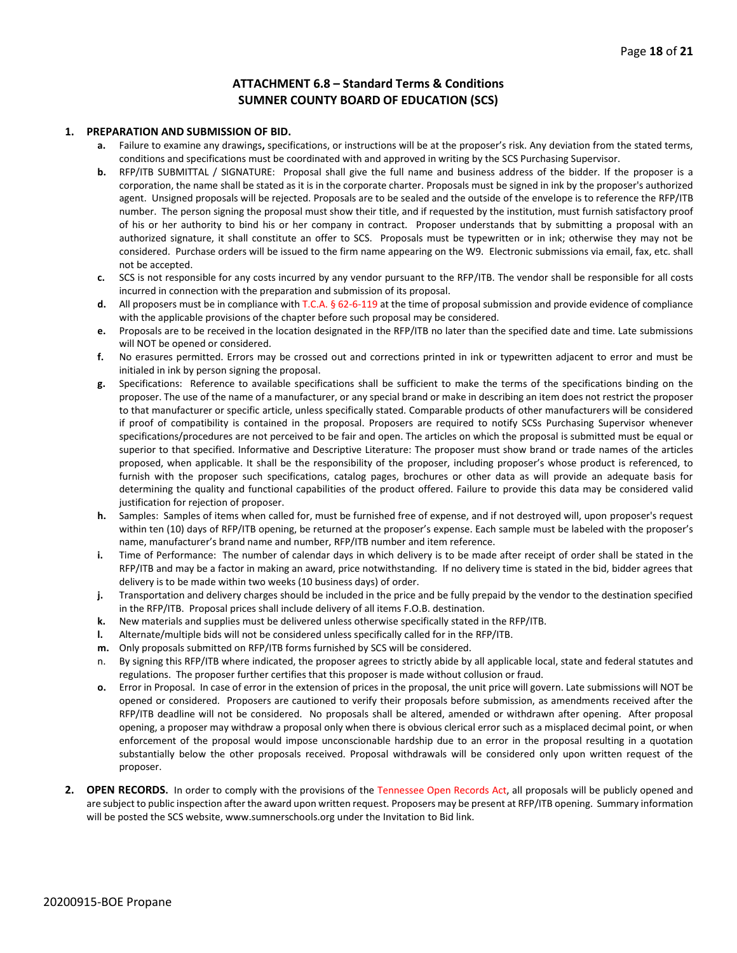#### **ATTACHMENT 6.8 – Standard Terms & Conditions SUMNER COUNTY BOARD OF EDUCATION (SCS)**

#### **1. PREPARATION AND SUBMISSION OF BID.**

- **a.** Failure to examine any drawings**,** specifications, or instructions will be at the proposer's risk. Any deviation from the stated terms, conditions and specifications must be coordinated with and approved in writing by the SCS Purchasing Supervisor.
- **b.** RFP/ITB SUBMITTAL / SIGNATURE: Proposal shall give the full name and business address of the bidder. If the proposer is a corporation, the name shall be stated as it is in the corporate charter. Proposals must be signed in ink by the proposer's authorized agent. Unsigned proposals will be rejected. Proposals are to be sealed and the outside of the envelope is to reference the RFP/ITB number. The person signing the proposal must show their title, and if requested by the institution, must furnish satisfactory proof of his or her authority to bind his or her company in contract. Proposer understands that by submitting a proposal with an authorized signature, it shall constitute an offer to SCS. Proposals must be typewritten or in ink; otherwise they may not be considered. Purchase orders will be issued to the firm name appearing on the W9. Electronic submissions via email, fax, etc. shall not be accepted.
- **c.** SCS is not responsible for any costs incurred by any vendor pursuant to the RFP/ITB. The vendor shall be responsible for all costs incurred in connection with the preparation and submission of its proposal.
- **d.** All proposers must be in compliance with T.C.A. § 62-6-119 at the time of proposal submission and provide evidence of compliance with the applicable provisions of the chapter before such proposal may be considered.
- **e.** Proposals are to be received in the location designated in the RFP/ITB no later than the specified date and time. Late submissions will NOT be opened or considered.
- **f.** No erasures permitted. Errors may be crossed out and corrections printed in ink or typewritten adjacent to error and must be initialed in ink by person signing the proposal.
- **g.** Specifications: Reference to available specifications shall be sufficient to make the terms of the specifications binding on the proposer. The use of the name of a manufacturer, or any special brand or make in describing an item does not restrict the proposer to that manufacturer or specific article, unless specifically stated. Comparable products of other manufacturers will be considered if proof of compatibility is contained in the proposal. Proposers are required to notify SCSs Purchasing Supervisor whenever specifications/procedures are not perceived to be fair and open. The articles on which the proposal is submitted must be equal or superior to that specified. Informative and Descriptive Literature: The proposer must show brand or trade names of the articles proposed, when applicable. It shall be the responsibility of the proposer, including proposer's whose product is referenced, to furnish with the proposer such specifications, catalog pages, brochures or other data as will provide an adequate basis for determining the quality and functional capabilities of the product offered. Failure to provide this data may be considered valid justification for rejection of proposer.
- **h.** Samples: Samples of items when called for, must be furnished free of expense, and if not destroyed will, upon proposer's request within ten (10) days of RFP/ITB opening, be returned at the proposer's expense. Each sample must be labeled with the proposer's name, manufacturer's brand name and number, RFP/ITB number and item reference.
- **i.** Time of Performance: The number of calendar days in which delivery is to be made after receipt of order shall be stated in the RFP/ITB and may be a factor in making an award, price notwithstanding. If no delivery time is stated in the bid, bidder agrees that delivery is to be made within two weeks (10 business days) of order.
- **j.** Transportation and delivery charges should be included in the price and be fully prepaid by the vendor to the destination specified in the RFP/ITB. Proposal prices shall include delivery of all items F.O.B. destination.
- **k.** New materials and supplies must be delivered unless otherwise specifically stated in the RFP/ITB.
- **l.** Alternate/multiple bids will not be considered unless specifically called for in the RFP/ITB.
- **m.** Only proposals submitted on RFP/ITB forms furnished by SCS will be considered.
- n. By signing this RFP/ITB where indicated, the proposer agrees to strictly abide by all applicable local, state and federal statutes and regulations. The proposer further certifies that this proposer is made without collusion or fraud.
- **o.** Error in Proposal. In case of error in the extension of prices in the proposal, the unit price will govern. Late submissions will NOT be opened or considered. Proposers are cautioned to verify their proposals before submission, as amendments received after the RFP/ITB deadline will not be considered. No proposals shall be altered, amended or withdrawn after opening. After proposal opening, a proposer may withdraw a proposal only when there is obvious clerical error such as a misplaced decimal point, or when enforcement of the proposal would impose unconscionable hardship due to an error in the proposal resulting in a quotation substantially below the other proposals received. Proposal withdrawals will be considered only upon written request of the proposer.
- **2. OPEN RECORDS.** In order to comply with the provisions of the Tennessee Open Records Act, all proposals will be publicly opened and are subject to public inspection after the award upon written request. Proposers may be present at RFP/ITB opening. Summary information will be posted the SCS website, www.sumnerschools.org under the Invitation to Bid link.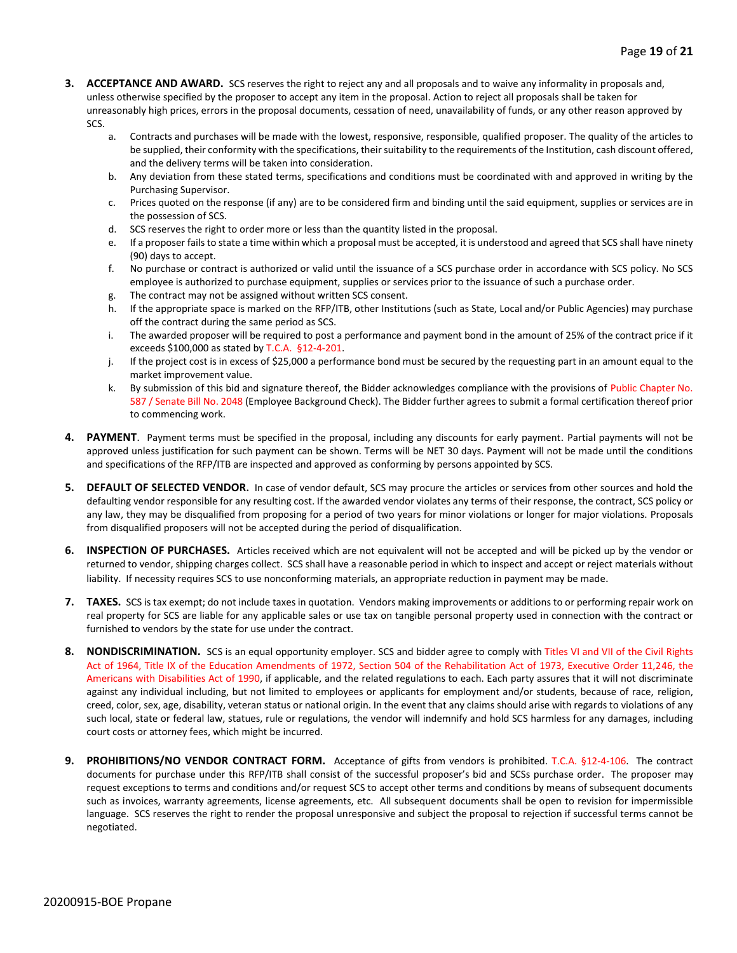- **3. ACCEPTANCE AND AWARD.** SCS reserves the right to reject any and all proposals and to waive any informality in proposals and, unless otherwise specified by the proposer to accept any item in the proposal. Action to reject all proposals shall be taken for unreasonably high prices, errors in the proposal documents, cessation of need, unavailability of funds, or any other reason approved by SCS.
	- a. Contracts and purchases will be made with the lowest, responsive, responsible, qualified proposer. The quality of the articles to be supplied, their conformity with the specifications, their suitability to the requirements of the Institution, cash discount offered, and the delivery terms will be taken into consideration.
	- b. Any deviation from these stated terms, specifications and conditions must be coordinated with and approved in writing by the Purchasing Supervisor.
	- c. Prices quoted on the response (if any) are to be considered firm and binding until the said equipment, supplies or services are in the possession of SCS.
	- d. SCS reserves the right to order more or less than the quantity listed in the proposal.
	- e. If a proposer fails to state a time within which a proposal must be accepted, it is understood and agreed that SCS shall have ninety (90) days to accept.
	- f. No purchase or contract is authorized or valid until the issuance of a SCS purchase order in accordance with SCS policy. No SCS employee is authorized to purchase equipment, supplies or services prior to the issuance of such a purchase order.
	- g. The contract may not be assigned without written SCS consent.
	- h. If the appropriate space is marked on the RFP/ITB, other Institutions (such as State, Local and/or Public Agencies) may purchase off the contract during the same period as SCS.
	- i. The awarded proposer will be required to post a performance and payment bond in the amount of 25% of the contract price if it exceeds \$100,000 as stated by T.C.A. §12-4-201.
	- j. If the project cost is in excess of \$25,000 a performance bond must be secured by the requesting part in an amount equal to the market improvement value.
	- k. By submission of this bid and signature thereof, the Bidder acknowledges compliance with the provisions of Public Chapter No. 587 / Senate Bill No. 2048 (Employee Background Check). The Bidder further agrees to submit a formal certification thereof prior to commencing work.
- **4. PAYMENT**. Payment terms must be specified in the proposal, including any discounts for early payment. Partial payments will not be approved unless justification for such payment can be shown. Terms will be NET 30 days. Payment will not be made until the conditions and specifications of the RFP/ITB are inspected and approved as conforming by persons appointed by SCS.
- **5. DEFAULT OF SELECTED VENDOR.** In case of vendor default, SCS may procure the articles or services from other sources and hold the defaulting vendor responsible for any resulting cost. If the awarded vendor violates any terms of their response, the contract, SCS policy or any law, they may be disqualified from proposing for a period of two years for minor violations or longer for major violations. Proposals from disqualified proposers will not be accepted during the period of disqualification.
- **6. INSPECTION OF PURCHASES.** Articles received which are not equivalent will not be accepted and will be picked up by the vendor or returned to vendor, shipping charges collect. SCS shall have a reasonable period in which to inspect and accept or reject materials without liability. If necessity requires SCS to use nonconforming materials, an appropriate reduction in payment may be made.
- **7. TAXES.** SCS is tax exempt; do not include taxes in quotation. Vendors making improvements or additions to or performing repair work on real property for SCS are liable for any applicable sales or use tax on tangible personal property used in connection with the contract or furnished to vendors by the state for use under the contract.
- **8. NONDISCRIMINATION.** SCS is an equal opportunity employer. SCS and bidder agree to comply with Titles VI and VII of the Civil Rights Act of 1964, Title IX of the Education Amendments of 1972, Section 504 of the Rehabilitation Act of 1973, Executive Order 11,246, the Americans with Disabilities Act of 1990, if applicable, and the related regulations to each. Each party assures that it will not discriminate against any individual including, but not limited to employees or applicants for employment and/or students, because of race, religion, creed, color, sex, age, disability, veteran status or national origin. In the event that any claims should arise with regards to violations of any such local, state or federal law, statues, rule or regulations, the vendor will indemnify and hold SCS harmless for any damages, including court costs or attorney fees, which might be incurred.
- **9. PROHIBITIONS/NO VENDOR CONTRACT FORM.** Acceptance of gifts from vendors is prohibited. T.C.A. §12-4-106. The contract documents for purchase under this RFP/ITB shall consist of the successful proposer's bid and SCSs purchase order. The proposer may request exceptions to terms and conditions and/or request SCS to accept other terms and conditions by means of subsequent documents such as invoices, warranty agreements, license agreements, etc. All subsequent documents shall be open to revision for impermissible language. SCS reserves the right to render the proposal unresponsive and subject the proposal to rejection if successful terms cannot be negotiated.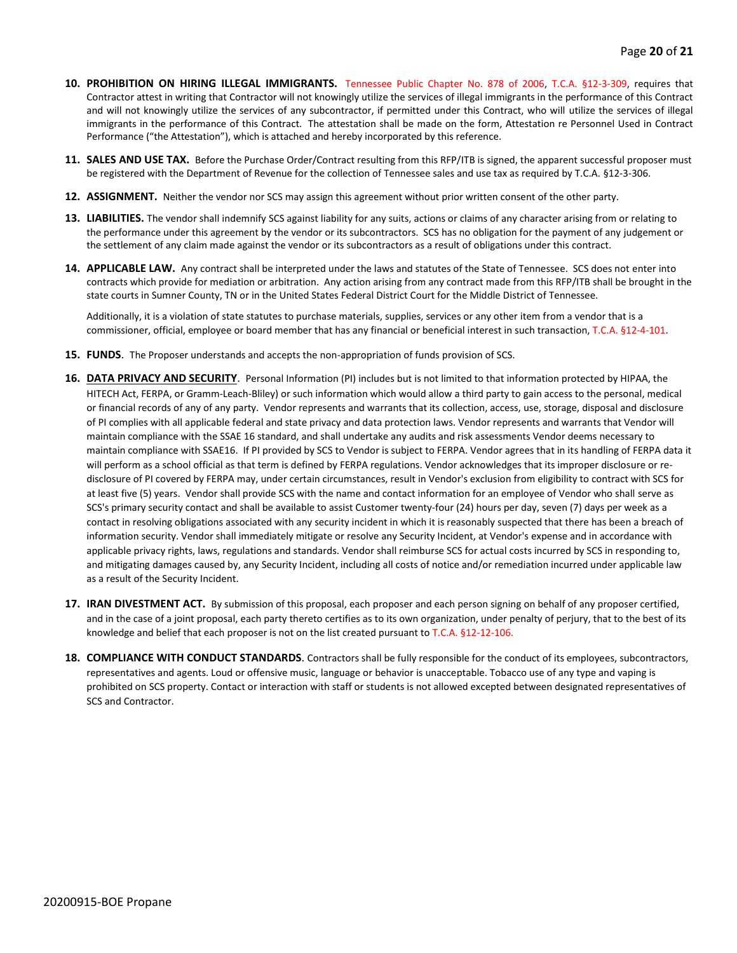- **10. PROHIBITION ON HIRING ILLEGAL IMMIGRANTS.** Tennessee Public Chapter No. 878 of 2006, T.C.A. §12-3-309, requires that Contractor attest in writing that Contractor will not knowingly utilize the services of illegal immigrants in the performance of this Contract and will not knowingly utilize the services of any subcontractor, if permitted under this Contract, who will utilize the services of illegal immigrants in the performance of this Contract. The attestation shall be made on the form, Attestation re Personnel Used in Contract Performance ("the Attestation"), which is attached and hereby incorporated by this reference.
- **11. SALES AND USE TAX.** Before the Purchase Order/Contract resulting from this RFP/ITB is signed, the apparent successful proposer must be registered with the Department of Revenue for the collection of Tennessee sales and use tax as required by T.C.A. §12-3-306.
- **12. ASSIGNMENT.** Neither the vendor nor SCS may assign this agreement without prior written consent of the other party.
- **13. LIABILITIES.** The vendor shall indemnify SCS against liability for any suits, actions or claims of any character arising from or relating to the performance under this agreement by the vendor or its subcontractors. SCS has no obligation for the payment of any judgement or the settlement of any claim made against the vendor or its subcontractors as a result of obligations under this contract.
- **14. APPLICABLE LAW.** Any contract shall be interpreted under the laws and statutes of the State of Tennessee. SCS does not enter into contracts which provide for mediation or arbitration. Any action arising from any contract made from this RFP/ITB shall be brought in the state courts in Sumner County, TN or in the United States Federal District Court for the Middle District of Tennessee.

Additionally, it is a violation of state statutes to purchase materials, supplies, services or any other item from a vendor that is a commissioner, official, employee or board member that has any financial or beneficial interest in such transaction, T.C.A. §12-4-101.

- **15. FUNDS**. The Proposer understands and accepts the non-appropriation of funds provision of SCS.
- **16. DATA PRIVACY AND SECURITY**. Personal Information (PI) includes but is not limited to that information protected by HIPAA, the HITECH Act, FERPA, or Gramm-Leach-Bliley) or such information which would allow a third party to gain access to the personal, medical or financial records of any of any party. Vendor represents and warrants that its collection, access, use, storage, disposal and disclosure of PI complies with all applicable federal and state privacy and data protection laws. Vendor represents and warrants that Vendor will maintain compliance with the SSAE 16 standard, and shall undertake any audits and risk assessments Vendor deems necessary to maintain compliance with SSAE16. If PI provided by SCS to Vendor is subject to FERPA. Vendor agrees that in its handling of FERPA data it will perform as a school official as that term is defined by FERPA regulations. Vendor acknowledges that its improper disclosure or redisclosure of PI covered by FERPA may, under certain circumstances, result in Vendor's exclusion from eligibility to contract with SCS for at least five (5) years. Vendor shall provide SCS with the name and contact information for an employee of Vendor who shall serve as SCS's primary security contact and shall be available to assist Customer twenty-four (24) hours per day, seven (7) days per week as a contact in resolving obligations associated with any security incident in which it is reasonably suspected that there has been a breach of information security. Vendor shall immediately mitigate or resolve any Security Incident, at Vendor's expense and in accordance with applicable privacy rights, laws, regulations and standards. Vendor shall reimburse SCS for actual costs incurred by SCS in responding to, and mitigating damages caused by, any Security Incident, including all costs of notice and/or remediation incurred under applicable law as a result of the Security Incident.
- **17. IRAN DIVESTMENT ACT.** By submission of this proposal, each proposer and each person signing on behalf of any proposer certified, and in the case of a joint proposal, each party thereto certifies as to its own organization, under penalty of perjury, that to the best of its knowledge and belief that each proposer is not on the list created pursuant to T.C.A. §12-12-106.
- **18. COMPLIANCE WITH CONDUCT STANDARDS**. Contractors shall be fully responsible for the conduct of its employees, subcontractors, representatives and agents. Loud or offensive music, language or behavior is unacceptable. Tobacco use of any type and vaping is prohibited on SCS property. Contact or interaction with staff or students is not allowed excepted between designated representatives of SCS and Contractor.